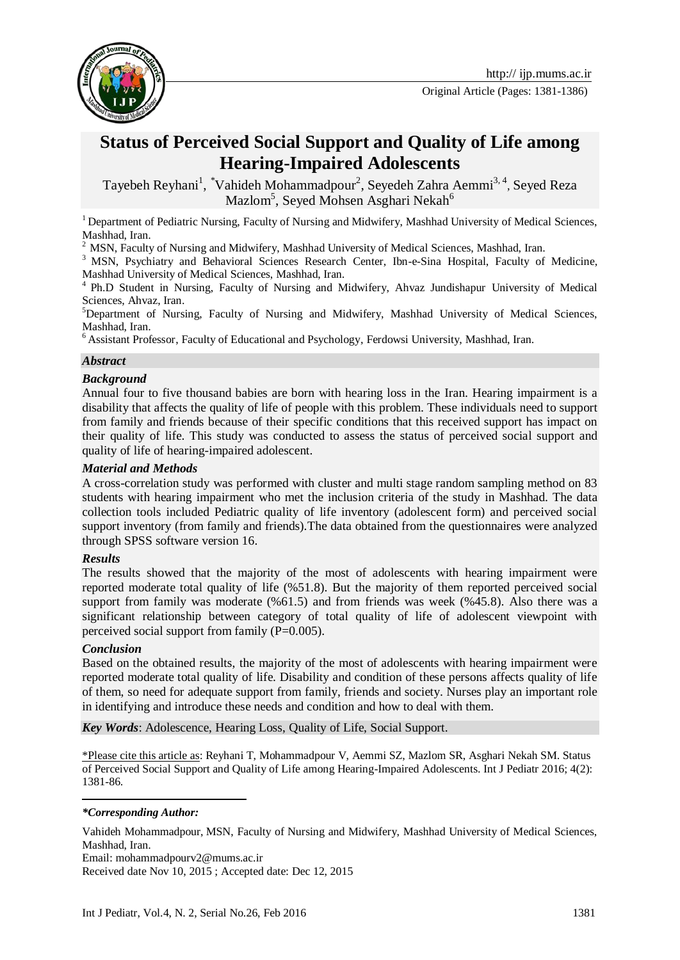

Original Article (Pages: 1381-1386)

# **Status of Perceived Social Support and Quality of Life among Hearing-Impaired Adolescents**

Tayebeh Reyhani<sup>1</sup>, <sup>\*</sup>Vahideh Mohammadpour<sup>2</sup>, Seyedeh Zahra Aemmi<sup>3,4</sup>, Seyed Reza Mazlom<sup>5</sup>, Seyed Mohsen Asghari Nekah<sup>6</sup>

<sup>1</sup> Department of Pediatric Nursing, Faculty of Nursing and Midwifery, Mashhad University of Medical Sciences, Mashhad, Iran.

<sup>2</sup> MSN, Faculty of Nursing and Midwifery, Mashhad University of Medical Sciences, Mashhad, Iran.

<sup>3</sup> MSN, Psychiatry and Behavioral Sciences Research Center, Ibn-e-Sina Hospital, Faculty of Medicine, Mashhad University of Medical Sciences, Mashhad, Iran.

4 Ph.D Student in Nursing, Faculty of Nursing and Midwifery, Ahvaz Jundishapur University of Medical Sciences, Ahvaz, Iran.

<sup>5</sup>Department of Nursing, Faculty of Nursing and Midwifery, Mashhad University of Medical Sciences, Mashhad, Iran.

 $6A$ ssistant Professor, Faculty of Educational and Psychology, Ferdowsi University, Mashhad, Iran.

### *Abstract*

### *Background*

Annual four to five thousand babies are born with hearing loss in the Iran. Hearing impairment is a disability that affects the quality of life of people with this problem. These individuals need to support from family and friends because of their specific conditions that this received support has impact on their quality of life. This study was conducted to assess the status of perceived social support and quality of life of hearing-impaired adolescent.

#### *Material and Methods*

A cross-correlation study was performed with cluster and multi stage random sampling method on 83 students with hearing impairment who met the inclusion criteria of the study in Mashhad. The data collection tools included Pediatric quality of life inventory (adolescent form) and perceived social support inventory (from family and friends).The data obtained from the questionnaires were analyzed through SPSS software version 16.

### *Results*

The results showed that the majority of the most of adolescents with hearing impairment were reported moderate total quality of life (%51.8). But the majority of them reported perceived social support from family was moderate (%61.5) and from friends was week (%45.8). Also there was a significant relationship between category of total quality of life of adolescent viewpoint with perceived social support from family (P=0.005).

### *Conclusion*

Based on the obtained results, the majority of the most of adolescents with hearing impairment were reported moderate total quality of life. Disability and condition of these persons affects quality of life of them, so need for adequate support from family, friends and society. Nurses play an important role in identifying and introduce these needs and condition and how to deal with them.

*Key Words*: [Adolescence,](http://ijp.mums.ac.ir/?_action=article&kw=17339&_kw=Deaf+studentadolescence) Hearing Loss, [Quality of](http://ijp.mums.ac.ir/?_action=article&kw=396&_kw=Quality+of+life) Life, Social Support.

\*Please cite this article as: Reyhani T, Mohammadpour V, Aemmi SZ, Mazlom SR, Asghari Nekah SM. Status of Perceived Social Support and Quality of Life among Hearing-Impaired Adolescents. Int J Pediatr 2016; 4(2): 1381-86.

#### -*\*Corresponding Author:*

Vahideh Mohammadpour, MSN, Faculty of Nursing and Midwifery, Mashhad University of Medical Sciences, Mashhad, Iran.

Email: mohammadpourv2@mums.ac.ir Received date Nov 10, 2015 ; Accepted date: Dec 12, 2015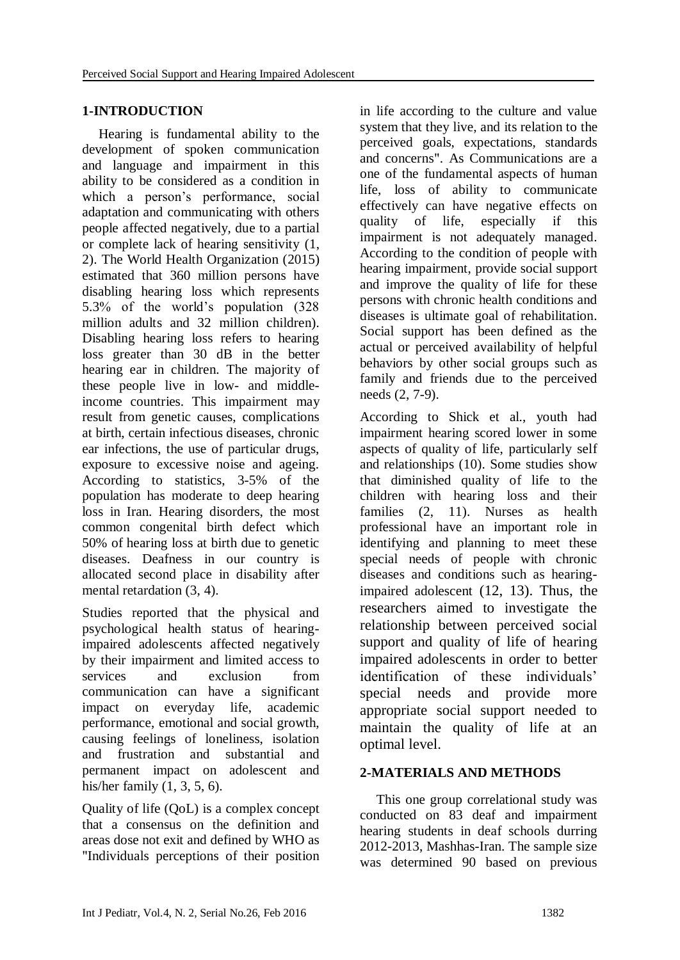### **1-INTRODUCTION**

Hearing is fundamental ability to the development of spoken communication and language and impairment in this ability to be considered as a condition in which a person's performance, social adaptation and communicating with others people affected negatively, due to a partial or complete lack of hearing sensitivity [\(1,](#page-4-0) [2\)](#page-4-1). The World Health Organization (2015) estimated that 360 million persons have disabling hearing loss which represents 5.3% of the world's population (328 million adults and 32 million children). Disabling hearing loss refers to hearing loss greater than 30 dB in the better hearing ear in children. The majority of these people live in low- and middleincome countries. This impairment may result from genetic causes, complications at birth, certain infectious diseases, chronic ear infections, the use of particular drugs, exposure to excessive noise and ageing. According to statistics, 3-5% of the population has moderate to deep hearing loss in Iran. Hearing disorders, the most common congenital birth defect which 50% of hearing loss at birth due to genetic diseases. Deafness in our country is allocated second place in disability after mental retardation [\(3,](#page-4-2) [4\)](#page-4-3).

Studies reported that the physical and psychological health status of hearingimpaired adolescents affected negatively by their impairment and limited access to services and exclusion from communication can have a significant impact on everyday life, academic performance, emotional and social growth, causing feelings of loneliness, isolation and frustration and substantial and permanent impact on adolescent and his/her family [\(1,](#page-4-0) [3,](#page-4-2) [5,](#page-4-4) [6\)](#page-5-0).

Quality of life (QoL) is a complex concept that a consensus on the definition and areas dose not exit and defined by WHO as "Individuals perceptions of their position in life according to the culture and value system that they live, and its relation to the perceived goals, expectations, standards and concerns". As Communications are a one of the fundamental aspects of human life, loss of ability to communicate effectively can have negative effects on quality of life, especially if this impairment is not adequately managed. According to the condition of people with hearing impairment, provide social support and improve the quality of life for these persons with chronic health conditions and diseases is ultimate goal of rehabilitation. Social support has been defined as the actual or perceived availability of helpful behaviors by other social groups such as family and friends due to the perceived needs [\(2,](#page-4-1) [7-9\)](#page-5-1).

According to Shick et al., youth had impairment hearing scored lower in some aspects of quality of life, particularly self and relationships [\(10\)](#page-5-2). Some studies show that diminished quality of life to the children with hearing loss and their families [\(2,](#page-4-1) [11\)](#page-5-3). Nurses as health professional have an important role in identifying and planning to meet these special needs of people with chronic diseases and conditions such as hearingimpaired adolescent [\(12,](#page-5-4) [13\)](#page-5-5). Thus, the researchers aimed to investigate the relationship between perceived social support and quality of life of hearing impaired adolescents in order to better identification of these individuals' special needs and provide more appropriate social support needed to maintain the quality of life at an optimal level.

# **2-MATERIALS AND METHODS**

This one group correlational study was conducted on 83 deaf and impairment hearing students in deaf schools durring 2012-2013, Mashhas-Iran. The sample size was determined 90 based on previous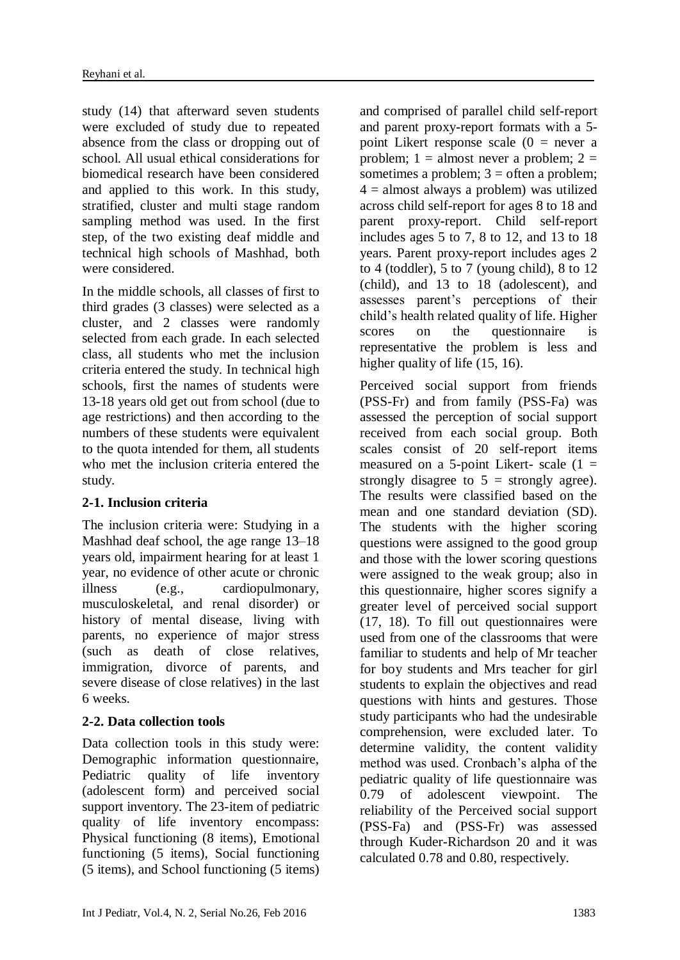study [\(14\)](#page-5-6) that afterward seven students were excluded of study due to repeated absence from the class or dropping out of school. All usual ethical considerations for biomedical research have been considered and applied to this work. In this study, stratified, cluster and multi stage random sampling method was used. In the first step, of the two existing deaf middle and technical high schools of Mashhad, both were considered.

In the middle schools, all classes of first to third grades (3 classes) were selected as a cluster, and 2 classes were randomly selected from each grade. In each selected class, all students who met the inclusion criteria entered the study. In technical high schools, first the names of students were 13-18 years old get out from school (due to age restrictions) and then according to the numbers of these students were equivalent to the quota intended for them, all students who met the inclusion criteria entered the study.

### **2-1. Inclusion criteria**

The inclusion criteria were: Studying in a Mashhad deaf school, the age range 13–18 years old, impairment hearing for at least 1 year, no evidence of other acute or chronic illness (e.g., cardiopulmonary, musculoskeletal, and renal disorder) or history of mental disease, living with parents, no experience of major stress (such as death of close relatives, immigration, divorce of parents, and severe disease of close relatives) in the last 6 weeks.

# **2-2. Data collection tools**

Data collection tools in this study were: Demographic information questionnaire, Pediatric quality of life inventory (adolescent form) and perceived social support inventory. The 23-item of pediatric quality of life inventory encompass: Physical functioning (8 items), Emotional functioning (5 items), Social functioning (5 items), and School functioning (5 items)

and comprised of parallel child self-report and parent proxy-report formats with a 5 point Likert response scale  $(0 =$  never a problem;  $1 =$  almost never a problem;  $2 =$ sometimes a problem;  $3 =$  often a problem;  $4 =$  almost always a problem) was utilized across child self-report for ages 8 to 18 and parent proxy-report. Child self-report includes ages 5 to 7, 8 to 12, and 13 to 18 years. Parent proxy-report includes ages 2 to 4 (toddler), 5 to 7 (young child), 8 to 12 (child), and 13 to 18 (adolescent), and assesses parent's perceptions of their child's health related quality of life. Higher scores on the questionnaire is representative the problem is less and higher quality of life [\(15,](#page-5-7) [16\)](#page-5-8).

Perceived social support from friends (PSS-Fr) and from family (PSS-Fa) was assessed the perception of social support received from each social group. Both scales consist of 20 self-report items measured on a 5-point Likert- scale  $(1 =$ strongly disagree to  $5 =$  strongly agree). The results were classified based on the mean and one standard deviation (SD). The students with the higher scoring questions were assigned to the good group and those with the lower scoring questions were assigned to the weak group; also in this questionnaire, higher scores signify a greater level of perceived social support [\(17,](#page-5-9) [18\)](#page-5-10). To fill out questionnaires were used from one of the classrooms that were familiar to students and help of Mr teacher for boy students and Mrs teacher for girl students to explain the objectives and read questions with hints and gestures. Those study participants who had the undesirable comprehension, were excluded later. To determine validity, the content validity method was used. Cronbach's alpha of the pediatric quality of life questionnaire was 0.79 of adolescent viewpoint. The reliability of the Perceived social support (PSS-Fa) and (PSS-Fr) was assessed through Kuder-Richardson 20 and it was calculated 0.78 and 0.80, respectively.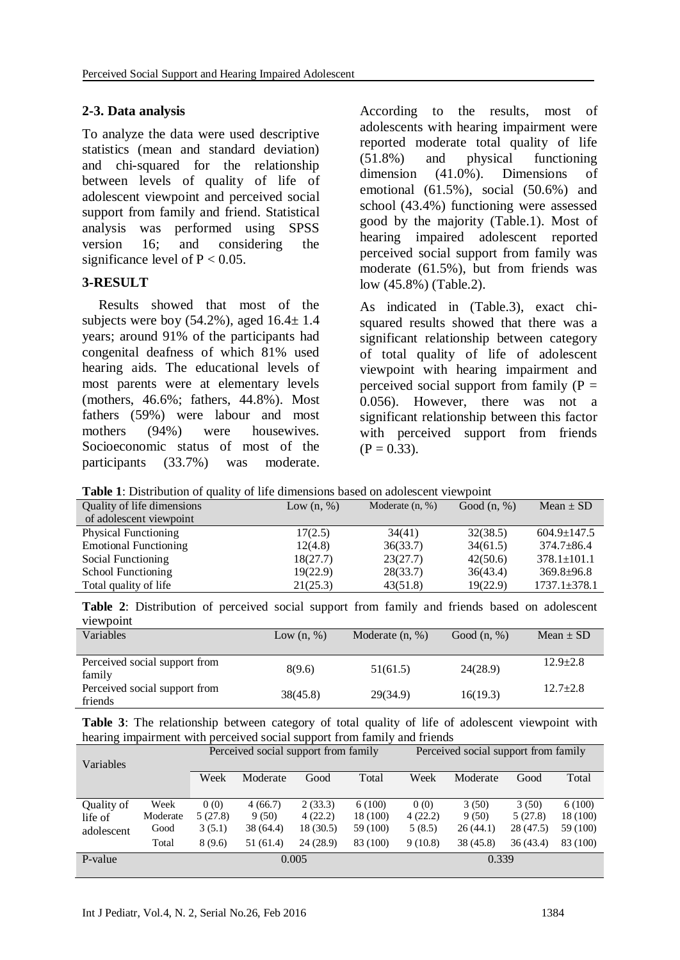### **2-3. Data analysis**

To analyze the data were used descriptive statistics (mean and standard deviation) and chi-squared for the relationship between levels of quality of life of adolescent viewpoint and perceived social support from family and friend. Statistical analysis was performed using SPSS version 16; and considering the significance level of  $P < 0.05$ .

### **3-RESULT**

Results showed that most of the subjects were boy  $(54.2\%)$ , aged  $16.4\pm 1.4$ years; around 91% of the participants had congenital deafness of which 81% used hearing aids. The educational levels of most parents were at elementary levels (mothers, 46.6%; fathers, 44.8%). Most fathers (59%) were labour and most mothers (94%) were housewives. Socioeconomic status of most of the participants (33.7%) was moderate.

According to the results, most of adolescents with hearing impairment were reported moderate total quality of life (51.8%) and physical functioning dimension (41.0%). Dimensions of emotional (61.5%), social (50.6%) and school (43.4%) functioning were assessed good by the majority (Table.1). Most of hearing impaired adolescent reported perceived social support from family was moderate (61.5%), but from friends was low (45.8%) (Table.2).

As indicated in (Table.3), exact chisquared results showed that there was a significant relationship between category of total quality of life of adolescent viewpoint with hearing impairment and perceived social support from family  $(P =$ 0.056). However, there was not a significant relationship between this factor with perceived support from friends  $(P = 0.33)$ .

|  | Table 1: Distribution of quality of life dimensions based on adolescent viewpoint |  |  |  |  |  |
|--|-----------------------------------------------------------------------------------|--|--|--|--|--|
|  |                                                                                   |  |  |  |  |  |

| Quality of life dimensions   | Low $(n, %)$ | Moderate $(n, %)$ | Good $(n, %)$ | Mean $\pm$ SD      |
|------------------------------|--------------|-------------------|---------------|--------------------|
| of adolescent viewpoint      |              |                   |               |                    |
| <b>Physical Functioning</b>  | 17(2.5)      | 34(41)            | 32(38.5)      | $604.9 \pm 147.5$  |
| <b>Emotional Functioning</b> | 12(4.8)      | 36(33.7)          | 34(61.5)      | $374.7 \pm 86.4$   |
| Social Functioning           | 18(27.7)     | 23(27.7)          | 42(50.6)      | $378.1 \pm 101.1$  |
| School Functioning           | 19(22.9)     | 28(33.7)          | 36(43.4)      | $369.8 \pm 96.8$   |
| Total quality of life        | 21(25.3)     | 43(51.8)          | 19(22.9)      | $1737.1 \pm 378.1$ |
|                              |              |                   |               |                    |

|           | <b>Table 2:</b> Distribution of perceived social support from family and friends based on adolescent |  |  |  |  |  |  |
|-----------|------------------------------------------------------------------------------------------------------|--|--|--|--|--|--|
| viewpoint |                                                                                                      |  |  |  |  |  |  |

| Y IV IV DUIIIU                           |              |                   |               |               |
|------------------------------------------|--------------|-------------------|---------------|---------------|
| Variables                                | Low $(n, %)$ | Moderate $(n, %)$ | Good $(n, %)$ | Mean $\pm$ SD |
|                                          |              |                   |               |               |
| Perceived social support from<br>family  | 8(9.6)       | 51(61.5)          | 24(28.9)      | $12.9 + 2.8$  |
| Perceived social support from<br>friends | 38(45.8)     | 29(34.9)          | 16(19.3)      | $12.7+2.8$    |

**Table 3**: The relationship between category of total quality of life of adolescent viewpoint with hearing impairment with perceived social support from family and friends

|          |         |           |           |          | Perceived social support from family |          |           |          |  |
|----------|---------|-----------|-----------|----------|--------------------------------------|----------|-----------|----------|--|
|          |         |           |           |          |                                      |          |           |          |  |
|          | Week    | Moderate  | Good      | Total    | Week                                 | Moderate | Good      | Total    |  |
|          |         |           |           |          |                                      |          |           |          |  |
| Week     | 0(0)    | 4(66.7)   | 2(33.3)   | 6(100)   | 0(0)                                 | 3(50)    | 3(50)     | 6(100)   |  |
| Moderate | 5(27.8) | 9(50)     | 4(22.2)   | 18 (100) | 4(22.2)                              | 9(50)    | 5(27.8)   | 18 (100) |  |
| Good     | 3(5.1)  | 38 (64.4) | 18 (30.5) | 59 (100) | 5(8.5)                               | 26(44.1) | 28 (47.5) | 59 (100) |  |
| Total    | 8(9.6)  | 51 (61.4) | 24(28.9)  | 83 (100) | 9(10.8)                              | 38(45.8) | 36(43.4)  | 83 (100) |  |
|          |         |           |           |          | 0.339                                |          |           |          |  |
|          |         |           |           | 0.005    | Perceived social support from family |          |           |          |  |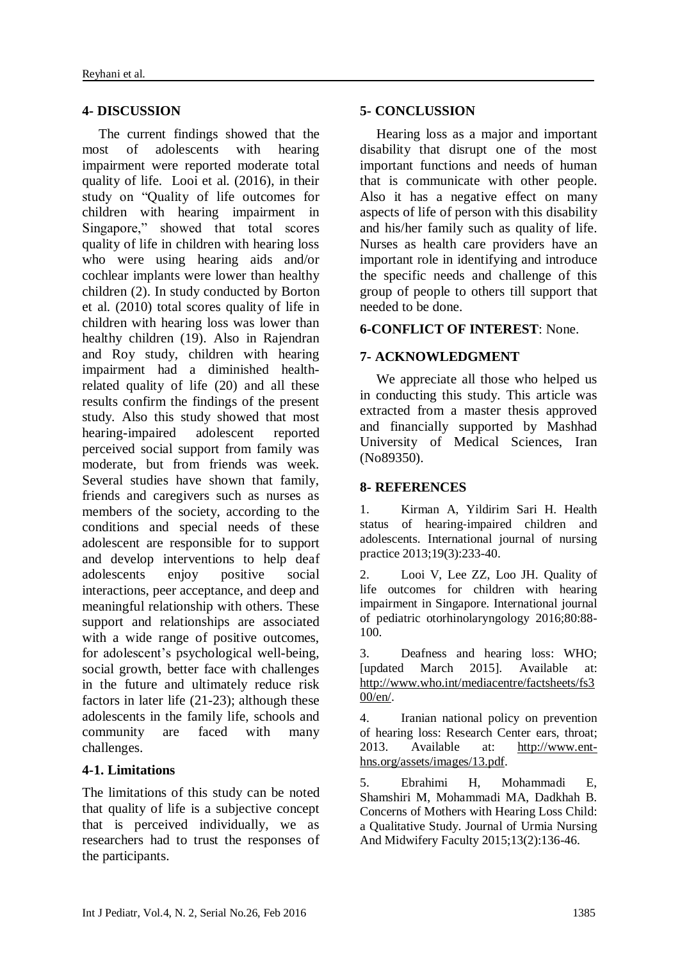### **4- DISCUSSION**

The current findings showed that the most of adolescents with hearing impairment were reported moderate total quality of life. Looi et al. (2016), in their study on "Quality of life outcomes for children with hearing impairment in Singapore," showed that total scores quality of life in children with hearing loss who were using hearing aids and/or cochlear implants were lower than healthy children [\(2\)](#page-4-1). In study conducted by Borton et al. (2010) total scores quality of life in children with hearing loss was lower than healthy children [\(19\)](#page-5-11). Also in Rajendran and Roy study, children with hearing impairment had a diminished healthrelated quality of life [\(20\)](#page-5-12) and all these results confirm the findings of the present study. Also this study showed that most hearing-impaired adolescent reported perceived social support from family was moderate, but from friends was week. Several studies have shown that family, friends and caregivers such as nurses as members of the society, according to the conditions and special needs of these adolescent are responsible for to support and develop interventions to help deaf adolescents enjoy positive social interactions, peer acceptance, and deep and meaningful relationship with others. These support and relationships are associated with a wide range of positive outcomes, for adolescent's psychological well-being, social growth, better face with challenges in the future and ultimately reduce risk factors in later life [\(21-23\)](#page-5-13); although these adolescents in the family life, schools and community are faced with many challenges.

### **4-1. Limitations**

The limitations of this study can be noted that quality of life is a subjective concept that is perceived individually, we as researchers had to trust the responses of the participants.

### **5- CONCLUSSION**

Hearing loss as a major and important disability that disrupt one of the most important functions and needs of human that is communicate with other people. Also it has a negative effect on many aspects of life of person with this disability and his/her family such as quality of life. Nurses as health care providers have an important role in identifying and introduce the specific needs and challenge of this group of people to others till support that needed to be done.

### **6-CONFLICT OF INTEREST**: None.

### **7- ACKNOWLEDGMENT**

We appreciate all those who helped us in conducting this study. This article was extracted from a master thesis approved and financially supported by Mashhad University of Medical Sciences, Iran (No89350).

### **8- REFERENCES**

<span id="page-4-0"></span>1. Kirman A, Yildirim Sari H. Health status of hearing‐impaired children and adolescents. International journal of nursing practice 2013;19(3):233-40.

<span id="page-4-1"></span>2. Looi V, Lee ZZ, Loo JH. Quality of life outcomes for children with hearing impairment in Singapore. International journal of pediatric otorhinolaryngology 2016;80:88- 100.

<span id="page-4-2"></span>3. Deafness and hearing loss: WHO; [updated March 2015]. Available at: [http://www.who.int/mediacentre/factsheets/fs3](http://www.who.int/mediacentre/factsheets/fs300/en/) [00/en/.](http://www.who.int/mediacentre/factsheets/fs300/en/)

<span id="page-4-3"></span>4. Iranian national policy on prevention of hearing loss: Research Center ears, throat; 2013. Available at: [http://www.ent](http://www.ent-hns.org/assets/images/13.pdf)[hns.org/assets/images/13.pdf.](http://www.ent-hns.org/assets/images/13.pdf)

<span id="page-4-4"></span>5. Ebrahimi H, Mohammadi E, Shamshiri M, Mohammadi MA, Dadkhah B. Concerns of Mothers with Hearing Loss Child: a Qualitative Study. Journal of Urmia Nursing And Midwifery Faculty 2015;13(2):136-46.